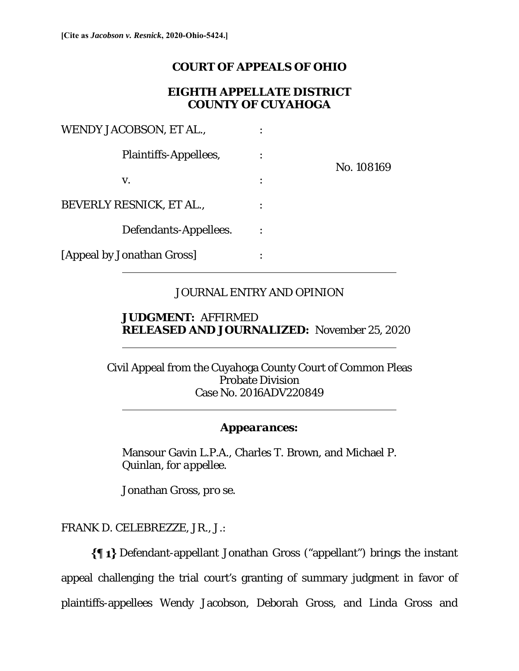# **COURT OF APPEALS OF OHIO**

## **EIGHTH APPELLATE DISTRICT COUNTY OF CUYAHOGA**

| WENDY JACOBSON, ET AL.,    |            |
|----------------------------|------------|
| Plaintiffs-Appellees,      | No. 108169 |
| V.                         |            |
| BEVERLY RESNICK, ET AL.,   |            |
| Defendants-Appellees.      |            |
| [Appeal by Jonathan Gross] |            |

# JOURNAL ENTRY AND OPINION

## **JUDGMENT:** AFFIRMED **RELEASED AND JOURNALIZED:** November 25, 2020

Civil Appeal from the Cuyahoga County Court of Common Pleas Probate Division Case No. 2016ADV220849  $\overline{a}$ 

# *Appearances:*

Mansour Gavin L.P.A., Charles T. Brown, and Michael P. Quinlan, *for appellee*.

Jonathan Gross, *pro se*.

FRANK D. CELEBREZZE, JR., J.:

 $\overline{a}$ 

Defendant-appellant Jonathan Gross ("appellant") brings the instant appeal challenging the trial court's granting of summary judgment in favor of plaintiffs-appellees Wendy Jacobson, Deborah Gross, and Linda Gross and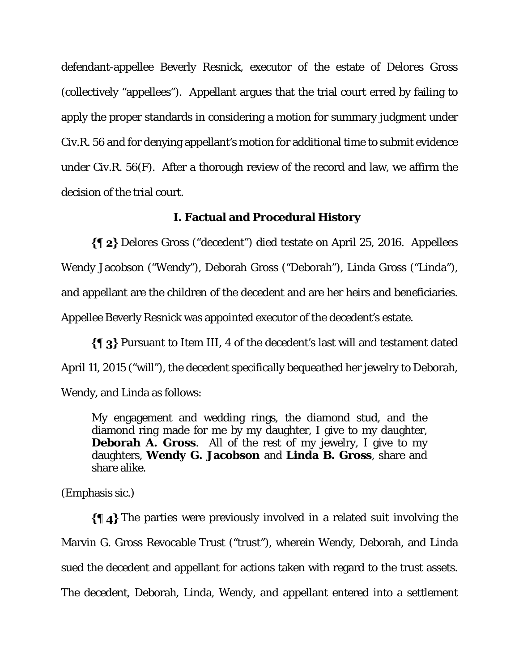defendant-appellee Beverly Resnick, executor of the estate of Delores Gross (collectively "appellees"). Appellant argues that the trial court erred by failing to apply the proper standards in considering a motion for summary judgment under Civ.R. 56 and for denying appellant's motion for additional time to submit evidence under Civ.R. 56(F). After a thorough review of the record and law, we affirm the decision of the trial court.

### **I. Factual and Procedural History**

Delores Gross ("decedent") died testate on April 25, 2016. Appellees Wendy Jacobson ("Wendy"), Deborah Gross ("Deborah"), Linda Gross ("Linda"), and appellant are the children of the decedent and are her heirs and beneficiaries. Appellee Beverly Resnick was appointed executor of the decedent's estate.

 $\{\P_3\}$  Pursuant to Item III, 4 of the decedent's last will and testament dated April 11, 2015 ("will"), the decedent specifically bequeathed her jewelry to Deborah, Wendy, and Linda as follows:

My engagement and wedding rings, the diamond stud, and the diamond ring made for me by my daughter, I give to my daughter, **Deborah A. Gross**. All of the rest of my jewelry, I give to my daughters, **Wendy G. Jacobson** and **Linda B. Gross**, share and share alike.

(Emphasis sic.)

 $\P$  4} The parties were previously involved in a related suit involving the Marvin G. Gross Revocable Trust ("trust"), wherein Wendy, Deborah, and Linda sued the decedent and appellant for actions taken with regard to the trust assets. The decedent, Deborah, Linda, Wendy, and appellant entered into a settlement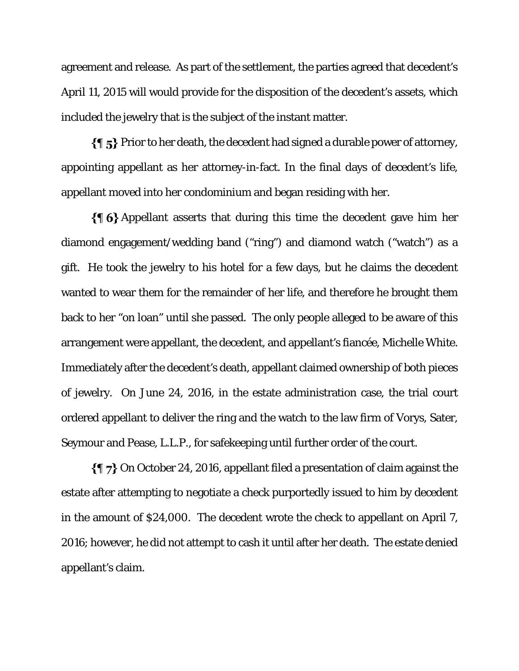agreement and release. As part of the settlement, the parties agreed that decedent's April 11, 2015 will would provide for the disposition of the decedent's assets, which included the jewelry that is the subject of the instant matter.

 $\{\P_5\}$  Prior to her death, the decedent had signed a durable power of attorney, appointing appellant as her attorney-in-fact. In the final days of decedent's life, appellant moved into her condominium and began residing with her.

 $\{\{\,\}\$ 6} Appellant asserts that during this time the decedent gave him her diamond engagement/wedding band ("ring") and diamond watch ("watch") as a gift. He took the jewelry to his hotel for a few days, but he claims the decedent wanted to wear them for the remainder of her life, and therefore he brought them back to her "on loan" until she passed. The only people alleged to be aware of this arrangement were appellant, the decedent, and appellant's fiancée, Michelle White. Immediately after the decedent's death, appellant claimed ownership of both pieces of jewelry. On June 24, 2016, in the estate administration case, the trial court ordered appellant to deliver the ring and the watch to the law firm of Vorys, Sater, Seymour and Pease, L.L.P., for safekeeping until further order of the court.

 $\{\P\}$  On October 24, 2016, appellant filed a presentation of claim against the estate after attempting to negotiate a check purportedly issued to him by decedent in the amount of \$24,000. The decedent wrote the check to appellant on April 7, 2016; however, he did not attempt to cash it until after her death. The estate denied appellant's claim.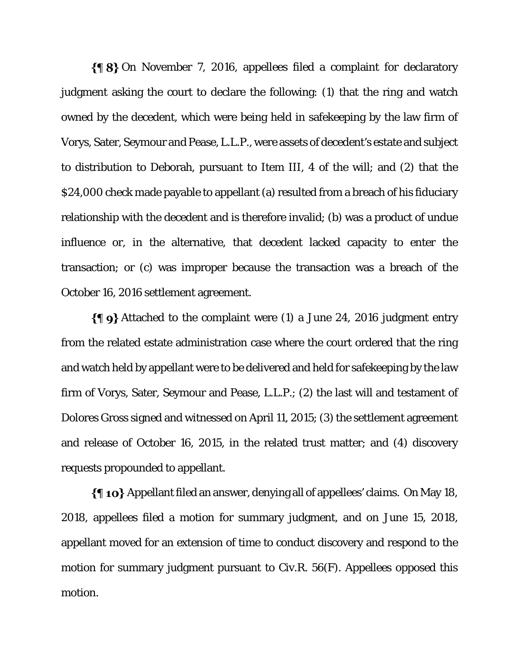$\{\P 8\}$  On November 7, 2016, appellees filed a complaint for declaratory judgment asking the court to declare the following: (1) that the ring and watch owned by the decedent, which were being held in safekeeping by the law firm of Vorys, Sater, Seymour and Pease, L.L.P., were assets of decedent's estate and subject to distribution to Deborah, pursuant to Item III, 4 of the will; and (2) that the \$24,000 check made payable to appellant (a) resulted from a breach of his fiduciary relationship with the decedent and is therefore invalid; (b) was a product of undue influence or, in the alternative, that decedent lacked capacity to enter the transaction; or (c) was improper because the transaction was a breach of the October 16, 2016 settlement agreement.

 $\{\P\}$  Attached to the complaint were (1) a June 24, 2016 judgment entry from the related estate administration case where the court ordered that the ring and watch held by appellant were to be delivered and held for safekeeping by the law firm of Vorys, Sater, Seymour and Pease, L.L.P.; (2) the last will and testament of Dolores Gross signed and witnessed on April 11, 2015; (3) the settlement agreement and release of October 16, 2015, in the related trust matter; and (4) discovery requests propounded to appellant.

Appellant filed an answer, denying all of appellees' claims. On May 18, 2018, appellees filed a motion for summary judgment, and on June 15, 2018, appellant moved for an extension of time to conduct discovery and respond to the motion for summary judgment pursuant to Civ.R. 56(F). Appellees opposed this motion.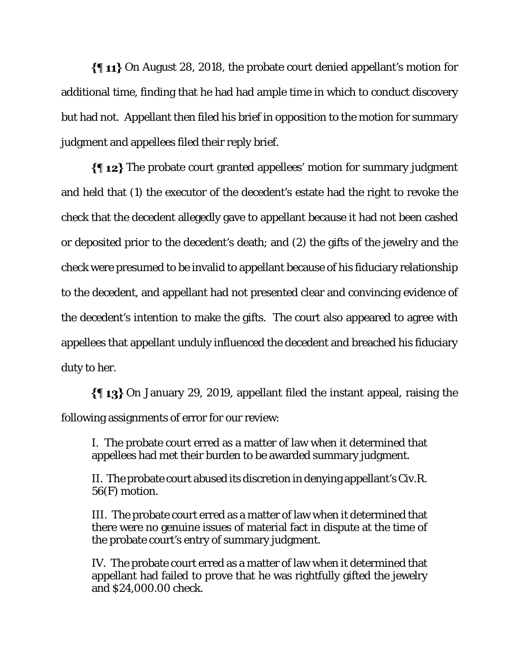$\{\P\$  11} On August 28, 2018, the probate court denied appellant's motion for additional time, finding that he had had ample time in which to conduct discovery but had not. Appellant then filed his brief in opposition to the motion for summary judgment and appellees filed their reply brief.

 $\{\P 12\}$  The probate court granted appellees' motion for summary judgment and held that (1) the executor of the decedent's estate had the right to revoke the check that the decedent allegedly gave to appellant because it had not been cashed or deposited prior to the decedent's death; and (2) the gifts of the jewelry and the check were presumed to be invalid to appellant because of his fiduciary relationship to the decedent, and appellant had not presented clear and convincing evidence of the decedent's intention to make the gifts. The court also appeared to agree with appellees that appellant unduly influenced the decedent and breached his fiduciary duty to her.

On January 29, 2019, appellant filed the instant appeal, raising the following assignments of error for our review:

I. The probate court erred as a matter of law when it determined that appellees had met their burden to be awarded summary judgment.

II. The probate court abused its discretion in denying appellant's Civ.R. 56(F) motion.

III. The probate court erred as a matter of law when it determined that there were no genuine issues of material fact in dispute at the time of the probate court's entry of summary judgment.

IV. The probate court erred as a matter of law when it determined that appellant had failed to prove that he was rightfully gifted the jewelry and \$24,000.00 check.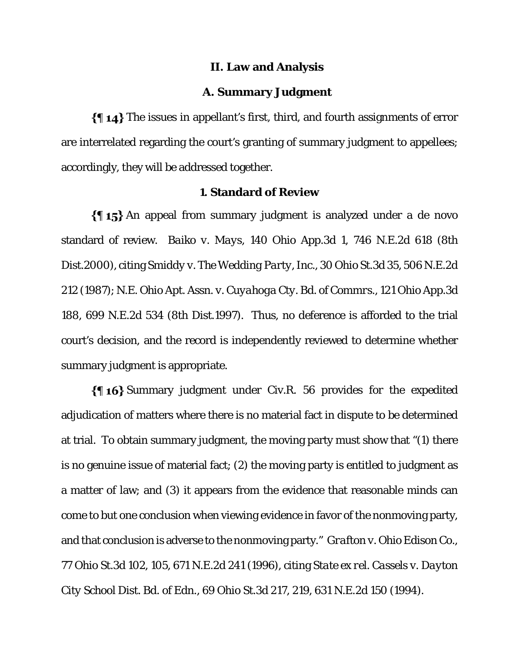#### **II. Law and Analysis**

#### **A. Summary Judgment**

The issues in appellant's first, third, and fourth assignments of error are interrelated regarding the court's granting of summary judgment to appellees; accordingly, they will be addressed together.

### **1. Standard of Review**

 $\{\{\,\,\,\,\,\,\}\}$  An appeal from summary judgment is analyzed under a de novo standard of review. *Baiko v. Mays*, 140 Ohio App.3d 1, 746 N.E.2d 618 (8th Dist.2000), citing *Smiddy v. The Wedding Party, Inc*., 30 Ohio St.3d 35, 506 N.E.2d 212 (1987); *N.E. Ohio Apt. Assn. v. Cuyahoga Cty. Bd. of Commrs*., 121 Ohio App.3d 188, 699 N.E.2d 534 (8th Dist.1997). Thus, no deference is afforded to the trial court's decision, and the record is independently reviewed to determine whether summary judgment is appropriate.

Summary judgment under Civ.R. 56 provides for the expedited adjudication of matters where there is no material fact in dispute to be determined at trial. To obtain summary judgment, the moving party must show that "(1) there is no genuine issue of material fact; (2) the moving party is entitled to judgment as a matter of law; and (3) it appears from the evidence that reasonable minds can come to but one conclusion when viewing evidence in favor of the nonmoving party, and that conclusion is adverse to the nonmoving party." *Grafton v. Ohio Edison Co*., 77 Ohio St.3d 102, 105, 671 N.E.2d 241 (1996), citing *State ex rel. Cassels v. Dayton City School Dist. Bd. of Edn*., 69 Ohio St.3d 217, 219, 631 N.E.2d 150 (1994).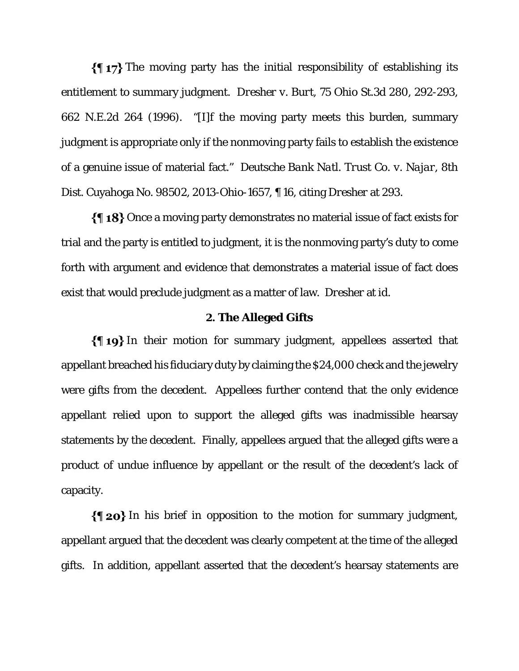$\{\P\$  17} The moving party has the initial responsibility of establishing its entitlement to summary judgment. *Dresher v. Burt*, 75 Ohio St.3d 280, 292-293, 662 N.E.2d 264 (1996). "[I]f the moving party meets this burden, summary judgment is appropriate only if the nonmoving party fails to establish the existence of a genuine issue of material fact." *Deutsche Bank Natl. Trust Co. v. Najar*, 8th Dist. Cuyahoga No. 98502, 2013-Ohio-1657, ¶ 16, citing *Dresher* at 293.

 $\{\P 18\}$  Once a moving party demonstrates no material issue of fact exists for trial and the party is entitled to judgment, it is the nonmoving party's duty to come forth with argument and evidence that demonstrates a material issue of fact does exist that would preclude judgment as a matter of law*. Dresher* at *id*.

#### **2. The Alleged Gifts**

 $\{\P_1\}$  In their motion for summary judgment, appellees asserted that appellant breached his fiduciary duty by claiming the \$24,000 check and the jewelry were gifts from the decedent. Appellees further contend that the only evidence appellant relied upon to support the alleged gifts was inadmissible hearsay statements by the decedent. Finally, appellees argued that the alleged gifts were a product of undue influence by appellant or the result of the decedent's lack of capacity.

 $\{\P$  20} In his brief in opposition to the motion for summary judgment, appellant argued that the decedent was clearly competent at the time of the alleged gifts. In addition, appellant asserted that the decedent's hearsay statements are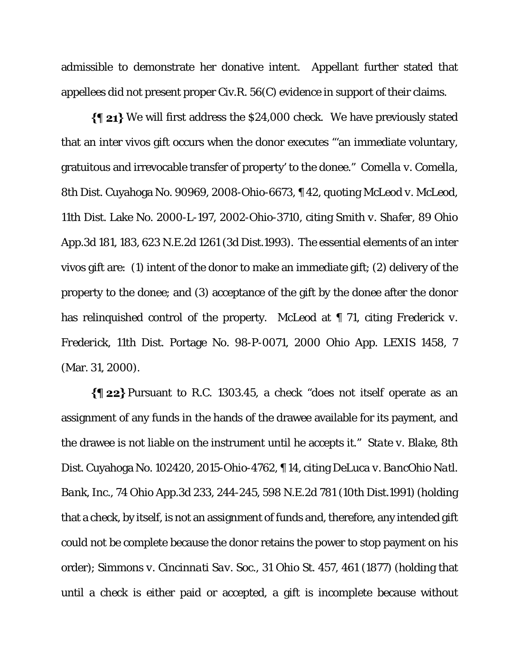admissible to demonstrate her donative intent. Appellant further stated that appellees did not present proper Civ.R. 56(C) evidence in support of their claims.

 $\{\parallel 21\}$  We will first address the \$24,000 check. We have previously stated that an inter vivos gift occurs when the donor executes "'an immediate voluntary, gratuitous and irrevocable transfer of property' to the donee." *Comella v. Comella*, 8th Dist. Cuyahoga No. 90969, 2008-Ohio-6673, ¶ 42, quoting *McLeod v. McLeod*, 11th Dist. Lake No. 2000-L-197, 2002-Ohio-3710, citing *Smith v. Shafer*, 89 Ohio App.3d 181, 183, 623 N.E.2d 1261 (3d Dist.1993). The essential elements of an inter vivos gift are: (1) intent of the donor to make an immediate gift; (2) delivery of the property to the donee; and (3) acceptance of the gift by the donee after the donor has relinquished control of the property. *McLeod* at ¶ 71, citing *Frederick v. Frederick*, 11th Dist. Portage No. 98-P-0071, 2000 Ohio App. LEXIS 1458, 7 (Mar. 31, 2000).

 $\{\P$  22} Pursuant to R.C. 1303.45, a check "does not itself operate as an assignment of any funds in the hands of the drawee available for its payment, and the drawee is not liable on the instrument until he accepts it." *State v. Blake*, 8th Dist. Cuyahoga No. 102420, 2015-Ohio-4762, ¶ 14, citing *DeLuca v. BancOhio Natl. Bank, Inc.*, 74 Ohio App.3d 233, 244-245, 598 N.E.2d 781 (10th Dist.1991) (holding that a check, by itself, is not an assignment of funds and, therefore, any intended gift could not be complete because the donor retains the power to stop payment on his order); *Simmons v. Cincinnati Sav. Soc*., 31 Ohio St. 457, 461 (1877) (holding that until a check is either paid or accepted, a gift is incomplete because without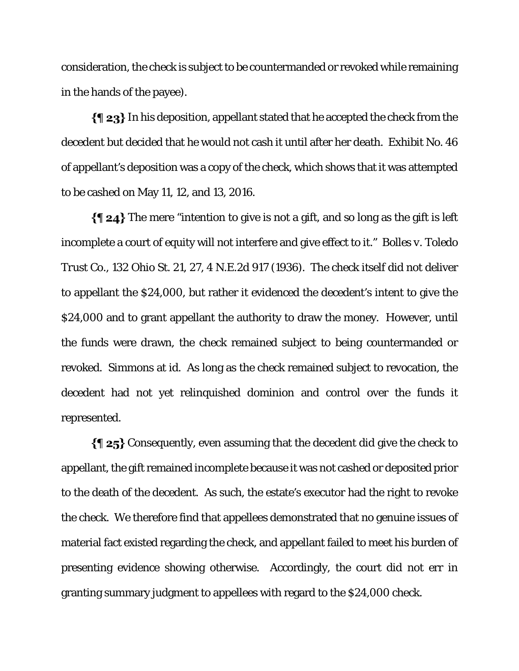consideration, the check is subject to be countermanded or revoked while remaining in the hands of the payee).

In his deposition, appellant stated that he accepted the check from the decedent but decided that he would not cash it until after her death. Exhibit No. 46 of appellant's deposition was a copy of the check, which shows that it was attempted to be cashed on May 11, 12, and 13, 2016.

 $\{\P 24\}$  The mere "intention to give is not a gift, and so long as the gift is left incomplete a court of equity will not interfere and give effect to it." *Bolles v. Toledo Trust Co*., 132 Ohio St. 21, 27, 4 N.E.2d 917 (1936). The check itself did not deliver to appellant the \$24,000, but rather it evidenced the decedent's intent to give the \$24,000 and to grant appellant the authority to draw the money. However, until the funds were drawn, the check remained subject to being countermanded or revoked. *Simmons* at *id*. As long as the check remained subject to revocation, the decedent had not yet relinquished dominion and control over the funds it represented.

 $\{\P 25\}$  Consequently, even assuming that the decedent did give the check to appellant, the gift remained incomplete because it was not cashed or deposited prior to the death of the decedent. As such, the estate's executor had the right to revoke the check. We therefore find that appellees demonstrated that no genuine issues of material fact existed regarding the check, and appellant failed to meet his burden of presenting evidence showing otherwise. Accordingly, the court did not err in granting summary judgment to appellees with regard to the \$24,000 check.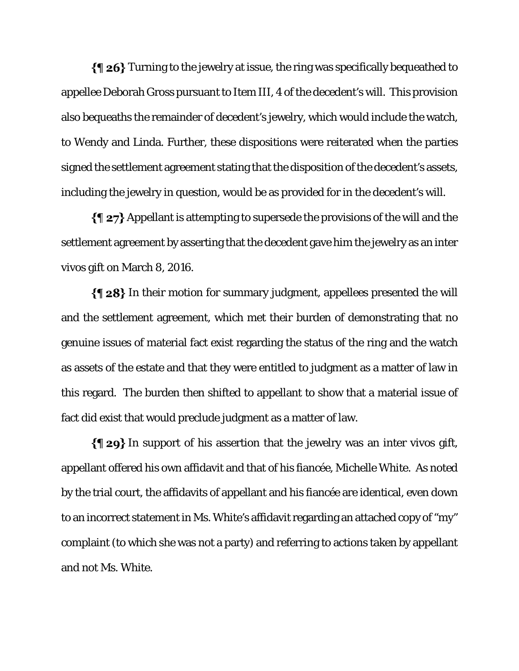$\{\P 26\}$  Turning to the jewelry at issue, the ring was specifically bequeathed to appellee Deborah Gross pursuant to Item III, 4 of the decedent's will. This provision also bequeaths the remainder of decedent's jewelry, which would include the watch, to Wendy and Linda. Further, these dispositions were reiterated when the parties signed the settlement agreement stating that the disposition of the decedent's assets, including the jewelry in question, would be as provided for in the decedent's will.

 $\{\P 27\}$  Appellant is attempting to supersede the provisions of the will and the settlement agreement by asserting that the decedent gave him the jewelry as an inter vivos gift on March 8, 2016.

In their motion for summary judgment, appellees presented the will and the settlement agreement, which met their burden of demonstrating that no genuine issues of material fact exist regarding the status of the ring and the watch as assets of the estate and that they were entitled to judgment as a matter of law in this regard. The burden then shifted to appellant to show that a material issue of fact did exist that would preclude judgment as a matter of law.

 $\{\P 29\}$  In support of his assertion that the jewelry was an inter vivos gift, appellant offered his own affidavit and that of his fiancée, Michelle White. As noted by the trial court, the affidavits of appellant and his fiancée are identical, even down to an incorrect statement in Ms. White's affidavit regarding an attached copy of "my" complaint (to which she was not a party) and referring to actions taken by appellant and not Ms. White.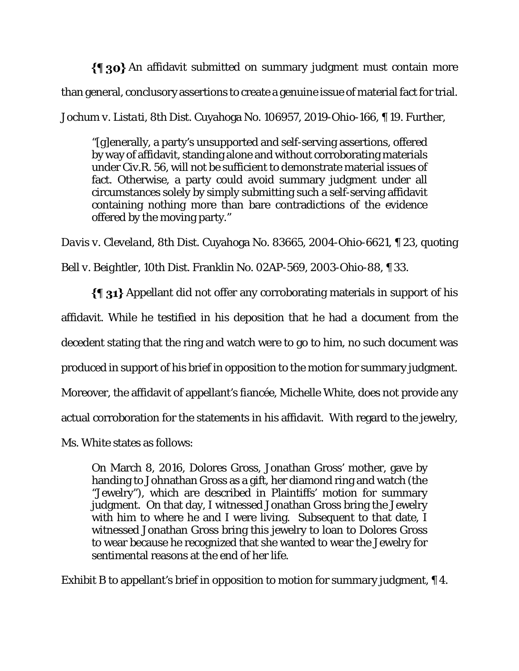$\{\P$  30} An affidavit submitted on summary judgment must contain more than general, conclusory assertions to create a genuine issue of material fact for trial.

*Jochum v. Listati*, 8th Dist. Cuyahoga No. 106957, 2019-Ohio-166, ¶ 19. Further,

"[g]enerally, a party's unsupported and self-serving assertions, offered by way of affidavit, standing alone and without corroborating materials under Civ.R. 56, will not be sufficient to demonstrate material issues of fact. Otherwise, a party could avoid summary judgment under all circumstances solely by simply submitting such a self-serving affidavit containing nothing more than bare contradictions of the evidence offered by the moving party."

*Davis v. Cleveland*, 8th Dist. Cuyahoga No. 83665, 2004-Ohio-6621, ¶ 23, quoting *Bell v. Beightler*, 10th Dist. Franklin No. 02AP-569, 2003-Ohio-88, ¶ 33.

Appellant did not offer any corroborating materials in support of his affidavit. While he testified in his deposition that he had a document from the decedent stating that the ring and watch were to go to him, no such document was produced in support of his brief in opposition to the motion for summary judgment. Moreover, the affidavit of appellant's fiancée, Michelle White, does not provide any actual corroboration for the statements in his affidavit. With regard to the jewelry, Ms. White states as follows:

On March 8, 2016, Dolores Gross, Jonathan Gross' mother, gave by handing to Johnathan Gross as a gift, her diamond ring and watch (the "Jewelry"), which are described in Plaintiffs' motion for summary judgment. On that day, I witnessed Jonathan Gross bring the Jewelry with him to where he and I were living. Subsequent to that date, I witnessed Jonathan Gross bring this jewelry to loan to Dolores Gross to wear because he recognized that she wanted to wear the Jewelry for sentimental reasons at the end of her life.

Exhibit B to appellant's brief in opposition to motion for summary judgment, ¶ 4.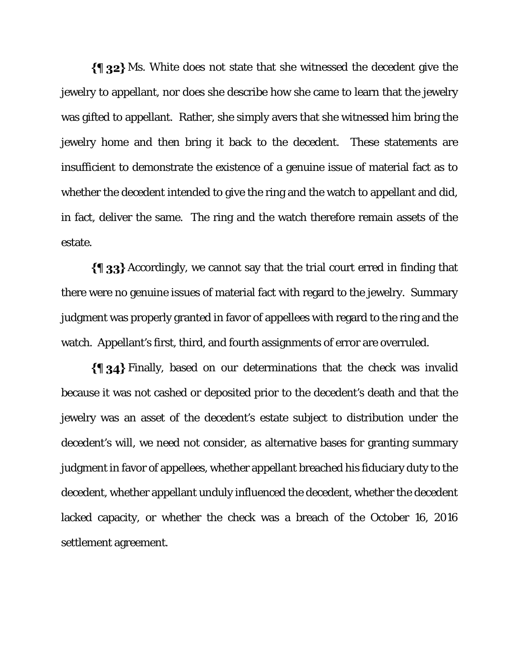$\{\P_32\}$  Ms. White does not state that she witnessed the decedent give the jewelry to appellant, nor does she describe how she came to learn that the jewelry was gifted to appellant. Rather, she simply avers that she witnessed him bring the jewelry home and then bring it back to the decedent. These statements are insufficient to demonstrate the existence of a genuine issue of material fact as to whether the decedent intended to give the ring and the watch to appellant and did, in fact, deliver the same. The ring and the watch therefore remain assets of the estate.

 $\{\{\}\$  33} Accordingly, we cannot say that the trial court erred in finding that there were no genuine issues of material fact with regard to the jewelry. Summary judgment was properly granted in favor of appellees with regard to the ring and the watch. Appellant's first, third, and fourth assignments of error are overruled.

Finally, based on our determinations that the check was invalid because it was not cashed or deposited prior to the decedent's death and that the jewelry was an asset of the decedent's estate subject to distribution under the decedent's will, we need not consider, as alternative bases for granting summary judgment in favor of appellees, whether appellant breached his fiduciary duty to the decedent, whether appellant unduly influenced the decedent, whether the decedent lacked capacity, or whether the check was a breach of the October 16, 2016 settlement agreement.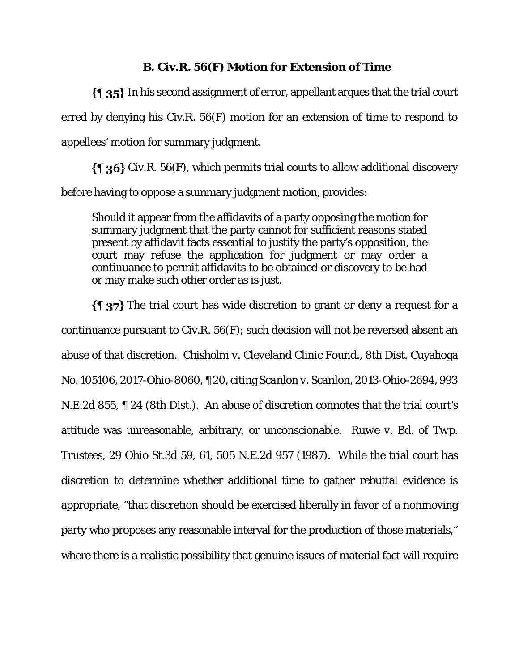### **B. Civ.R. 56(F) Motion for Extension of Time**

 $\{\P\$  35} In his second assignment of error, appellant argues that the trial court erred by denying his Civ.R. 56(F) motion for an extension of time to respond to appellees' motion for summary judgment.

 $\{\P\$ 36} Civ.R. 56(F), which permits trial courts to allow additional discovery before having to oppose a summary judgment motion, provides:

Should it appear from the affidavits of a party opposing the motion for summary judgment that the party cannot for sufficient reasons stated present by affidavit facts essential to justify the party's opposition, the court may refuse the application for judgment or may order a continuance to permit affidavits to be obtained or discovery to be had or may make such other order as is just.

 $\{\P\}$  37} The trial court has wide discretion to grant or deny a request for a continuance pursuant to Civ.R. 56(F); such decision will not be reversed absent an abuse of that discretion*. Chisholm v. Cleveland Clinic Found*., 8th Dist. Cuyahoga No. 105106, 2017-Ohio-8060, ¶ 20, citing *Scanlon v. Scanlon*, 2013-Ohio-2694, 993 N.E.2d 855, ¶ 24 (8th Dist.). An abuse of discretion connotes that the trial court's attitude was unreasonable, arbitrary, or unconscionable. *Ruwe v. Bd. of Twp. Trustees*, 29 Ohio St.3d 59, 61, 505 N.E.2d 957 (1987). While the trial court has discretion to determine whether additional time to gather rebuttal evidence is appropriate, "that discretion should be exercised liberally in favor of a nonmoving party who proposes any reasonable interval for the production of those materials," where there is a realistic possibility that genuine issues of material fact will require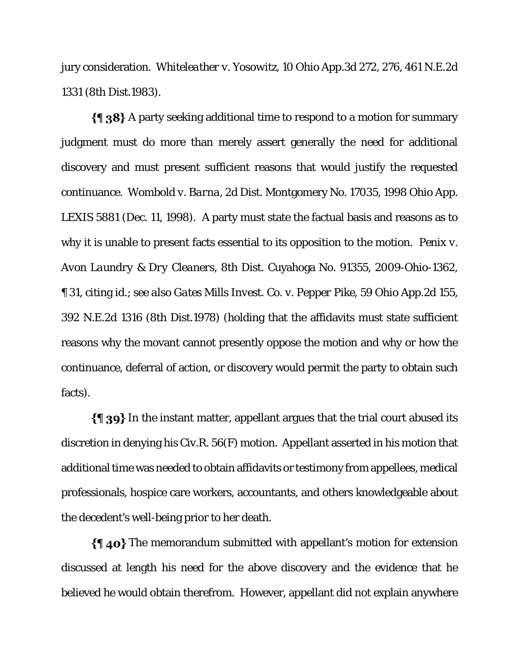jury consideration. *Whiteleather v. Yosowitz*, 10 Ohio App.3d 272, 276, 461 N.E.2d 1331 (8th Dist.1983).

 $\{\{\}\$  38} A party seeking additional time to respond to a motion for summary judgment must do more than merely assert generally the need for additional discovery and must present sufficient reasons that would justify the requested continuance. *Wombold v. Barna*, 2d Dist. Montgomery No. 17035, 1998 Ohio App. LEXIS 5881 (Dec. 11, 1998). A party must state the factual basis and reasons as to why it is unable to present facts essential to its opposition to the motion. *Penix v. Avon Laundry & Dry Cleaners*, 8th Dist. Cuyahoga No. 91355, 2009-Ohio-1362, ¶ 31, citing *id.*; *see also Gates Mills Invest. Co. v. Pepper Pike*, 59 Ohio App.2d 155, 392 N.E.2d 1316 (8th Dist.1978) (holding that the affidavits must state sufficient reasons why the movant cannot presently oppose the motion and why or how the continuance, deferral of action, or discovery would permit the party to obtain such facts).

In the instant matter, appellant argues that the trial court abused its discretion in denying his Civ.R. 56(F) motion. Appellant asserted in his motion that additional time was needed to obtain affidavits or testimony from appellees, medical professionals, hospice care workers, accountants, and others knowledgeable about the decedent's well-being prior to her death.

 $\{\P\}$ 40} The memorandum submitted with appellant's motion for extension discussed at length his need for the above discovery and the evidence that he believed he would obtain therefrom. However, appellant did not explain anywhere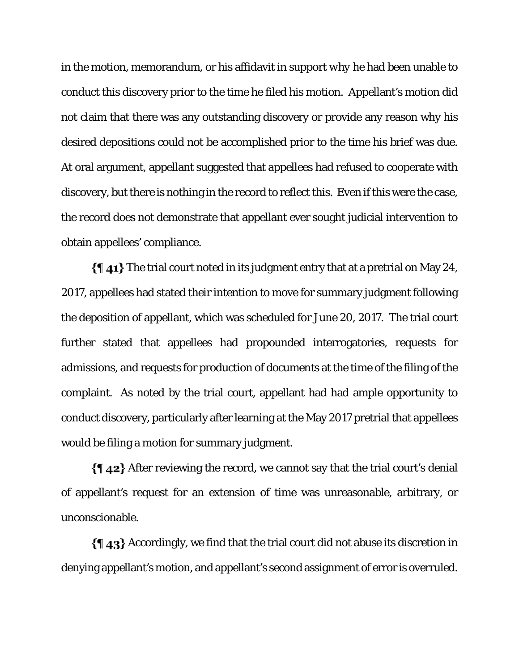in the motion, memorandum, or his affidavit in support *why* he had been unable to conduct this discovery prior to the time he filed his motion. Appellant's motion did not claim that there was any outstanding discovery or provide any reason why his desired depositions could not be accomplished prior to the time his brief was due. At oral argument, appellant suggested that appellees had refused to cooperate with discovery, but there is nothing in the record to reflect this. Even if this were the case, the record does not demonstrate that appellant ever sought judicial intervention to obtain appellees' compliance.

 $\{\P\$  41} The trial court noted in its judgment entry that at a pretrial on May 24, 2017, appellees had stated their intention to move for summary judgment following the deposition of appellant, which was scheduled for June 20, 2017. The trial court further stated that appellees had propounded interrogatories, requests for admissions, and requests for production of documents at the time of the filing of the complaint. As noted by the trial court, appellant had had ample opportunity to conduct discovery, particularly after learning at the May 2017 pretrial that appellees would be filing a motion for summary judgment.

 $\{\P\}$ 42} After reviewing the record, we cannot say that the trial court's denial of appellant's request for an extension of time was unreasonable, arbitrary, or unconscionable.

 $\{\P\$  43} Accordingly, we find that the trial court did not abuse its discretion in denying appellant's motion, and appellant's second assignment of error is overruled.